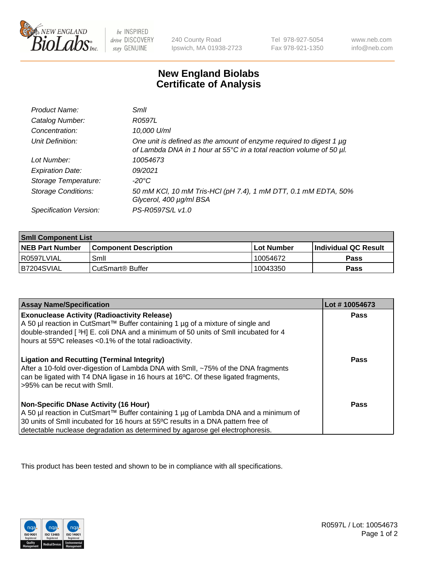

 $be$  INSPIRED drive DISCOVERY stay GENUINE

240 County Road Ipswich, MA 01938-2723 Tel 978-927-5054 Fax 978-921-1350 www.neb.com info@neb.com

## **New England Biolabs Certificate of Analysis**

| Product Name:              | Smll                                                                                                                                        |
|----------------------------|---------------------------------------------------------------------------------------------------------------------------------------------|
| Catalog Number:            | R0597L                                                                                                                                      |
| Concentration:             | 10,000 U/ml                                                                                                                                 |
| Unit Definition:           | One unit is defined as the amount of enzyme required to digest 1 µg<br>of Lambda DNA in 1 hour at 55°C in a total reaction volume of 50 µl. |
| Lot Number:                | 10054673                                                                                                                                    |
| <b>Expiration Date:</b>    | 09/2021                                                                                                                                     |
| Storage Temperature:       | -20°C                                                                                                                                       |
| <b>Storage Conditions:</b> | 50 mM KCl, 10 mM Tris-HCl (pH 7.4), 1 mM DTT, 0.1 mM EDTA, 50%<br>Glycerol, 400 µg/ml BSA                                                   |
| Specification Version:     | PS-R0597S/L v1.0                                                                                                                            |

| <b>Smil Component List</b> |                              |              |                             |  |
|----------------------------|------------------------------|--------------|-----------------------------|--|
| <b>NEB Part Number</b>     | <b>Component Description</b> | l Lot Number | <b>Individual QC Result</b> |  |
| l R0597LVIAL               | Smil                         | 10054672     | Pass                        |  |
| B7204SVIAL                 | CutSmart <sup>®</sup> Buffer | 10043350     | Pass                        |  |

| <b>Assay Name/Specification</b>                                                                                                                                                                                                                                                                          | Lot #10054673 |
|----------------------------------------------------------------------------------------------------------------------------------------------------------------------------------------------------------------------------------------------------------------------------------------------------------|---------------|
| <b>Exonuclease Activity (Radioactivity Release)</b><br>A 50 µl reaction in CutSmart™ Buffer containing 1 µg of a mixture of single and<br>double-stranded [3H] E. coli DNA and a minimum of 50 units of SmII incubated for 4<br>hours at 55°C releases <0.1% of the total radioactivity.                 | Pass          |
| <b>Ligation and Recutting (Terminal Integrity)</b><br>After a 10-fold over-digestion of Lambda DNA with Smll, ~75% of the DNA fragments<br>can be ligated with T4 DNA ligase in 16 hours at 16°C. Of these ligated fragments,<br>>95% can be recut with Smll.                                            | Pass          |
| <b>Non-Specific DNase Activity (16 Hour)</b><br>A 50 µl reaction in CutSmart™ Buffer containing 1 µg of Lambda DNA and a minimum of<br>30 units of Smll incubated for 16 hours at 55°C results in a DNA pattern free of<br>detectable nuclease degradation as determined by agarose gel electrophoresis. | <b>Pass</b>   |

This product has been tested and shown to be in compliance with all specifications.